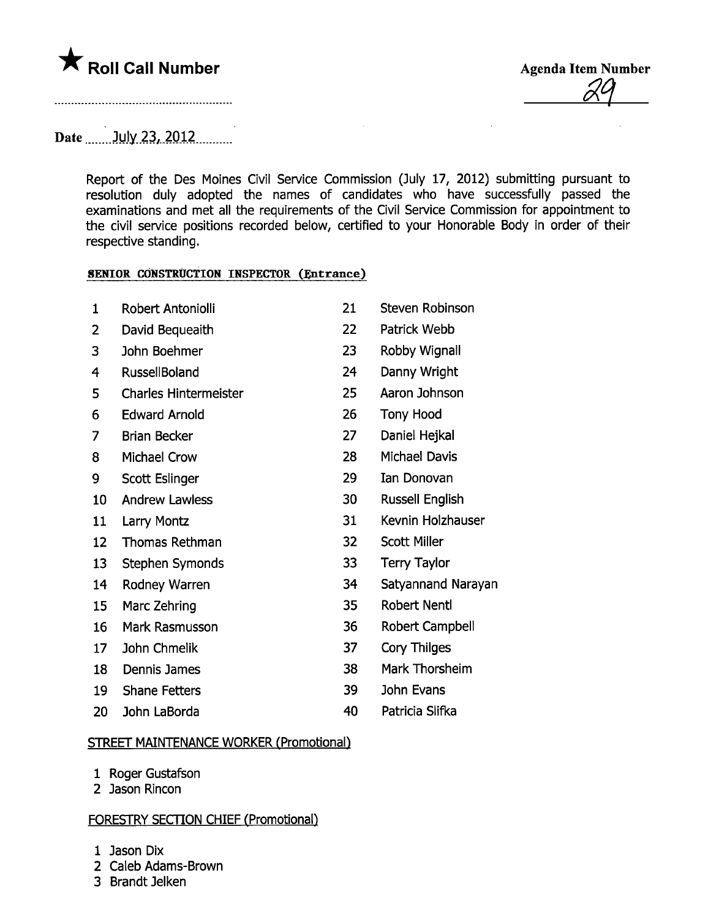

<u>ól Y</u>

Date July 23, 2012

Report of the Des Moines Civil Service Commission (July 17, 2012) submitting pursuant to resolution duly adopted the names of candidates who have successfully passed the examinations and met all the requirements of the Civil Service Commission for appointment to the civil service positions recorded below, certified to your Honorable Body in order of their respective standing.

## SENIOR CÒNSTRUCTION INSPECTOR (Entrance)

| $\mathbf{1}$ | Robert Antoniolli            | 21 | <b>Steven Robinson</b> |
|--------------|------------------------------|----|------------------------|
| 2            | David Bequeaith              | 22 | Patrick Webb           |
| 3            | John Boehmer                 | 23 | Robby Wignall          |
| 4            | <b>RussellBoland</b>         | 24 | Danny Wright           |
| 5            | <b>Charles Hintermeister</b> | 25 | Aaron Johnson          |
| 6            | <b>Edward Arnold</b>         | 26 | <b>Tony Hood</b>       |
| 7            | <b>Brian Becker</b>          | 27 | Daniel Hejkal          |
| 8            | <b>Michael Crow</b>          | 28 | <b>Michael Davis</b>   |
| 9            | Scott Eslinger               | 29 | <b>Ian Donovan</b>     |
| 10           | <b>Andrew Lawless</b>        | 30 | Russell English        |
| 11           | Larry Montz                  | 31 | Kevnin Holzhauser      |
| 12           | <b>Thomas Rethman</b>        | 32 | <b>Scott Miller</b>    |
| 13           | Stephen Symonds              | 33 | <b>Terry Taylor</b>    |
| 14           | Rodney Warren                | 34 | Satyannand Narayan     |
| 15           | Marc Zehring                 | 35 | <b>Robert Nentl</b>    |
| 16           | Mark Rasmusson               | 36 | Robert Campbell        |
| 17           | John Chmelik                 | 37 | Cory Thilges           |
| 18           | <b>Dennis James</b>          | 38 | Mark Thorsheim         |
| 19           | <b>Shane Fetters</b>         | 39 | John Evans             |
| 20           | John LaBorda                 | 40 | Patricia Slifka        |
|              |                              |    |                        |

## STREET MAINTENANCE WORKER (Promotional)

- 1 Roger Gustafson
- 2 Jason Rincon

## FORESTRY SECTON CHIEF (Promotional)

Jason Dix

- Caleb Adams-Brown
- Brandt Jelken